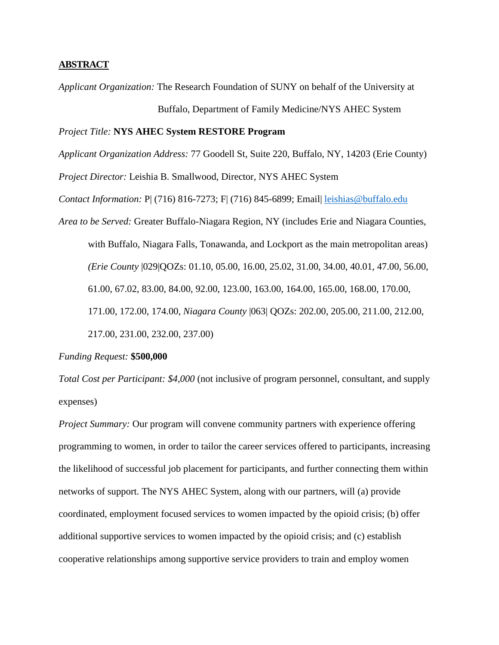## **ABSTRACT**

*Applicant Organization:* The Research Foundation of SUNY on behalf of the University at

Buffalo, Department of Family Medicine/NYS AHEC System

# *Project Title:* **NYS AHEC System RESTORE Program**

*Applicant Organization Address:* 77 Goodell St, Suite 220, Buffalo, NY, 14203 (Erie County)

*Project Director:* Leishia B. Smallwood, Director, NYS AHEC System

*Contact Information:* P| (716) 816-7273; F| (716) 845-6899; Email| [leishias@buffalo.edu](mailto:leishias@buffalo.edu)

*Area to be Served:* Greater Buffalo-Niagara Region, NY (includes Erie and Niagara Counties, with Buffalo, Niagara Falls, Tonawanda, and Lockport as the main metropolitan areas) *(Erie County* |029|QOZs: 01.10, 05.00, 16.00, 25.02, 31.00, 34.00, 40.01, 47.00, 56.00, 61.00, 67.02, 83.00, 84.00, 92.00, 123.00, 163.00, 164.00, 165.00, 168.00, 170.00, 171.00, 172.00, 174.00, *Niagara County* |063| QOZs: 202.00, 205.00, 211.00, 212.00, 217.00, 231.00, 232.00, 237.00)

#### *Funding Request:* **\$500,000**

*Total Cost per Participant: \$4,000* (not inclusive of program personnel, consultant, and supply expenses)

*Project Summary:* Our program will convene community partners with experience offering programming to women, in order to tailor the career services offered to participants, increasing the likelihood of successful job placement for participants, and further connecting them within networks of support. The NYS AHEC System, along with our partners, will (a) provide coordinated, employment focused services to women impacted by the opioid crisis; (b) offer additional supportive services to women impacted by the opioid crisis; and (c) establish cooperative relationships among supportive service providers to train and employ women